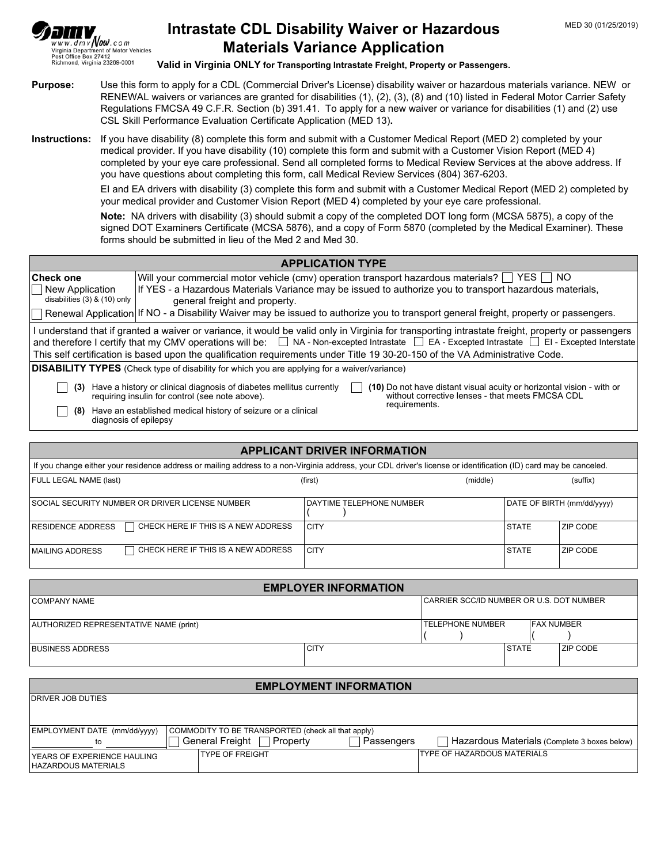

## **Intrastate CDL Disability Waiver or Hazardous Materials Variance Application**

**Valid in Virginia ONLY for Transporting Intrastate Freight, Property or Passengers.**

- **Purpose:** Use this form to apply for a CDL (Commercial Driver's License) disability waiver or hazardous materials variance. NEW or RENEWAL waivers or variances are granted for disabilities (1), (2), (3), (8) and (10) listed in Federal Motor Carrier Safety Regulations FMCSA 49 C.F.R. Section (b) 391.41. To apply for a new waiver or variance for disabilities (1) and (2) use CSL Skill Performance Evaluation Certificate Application (MED 13)**.**
- **Instructions:** If you have disability (8) complete this form and submit with a Customer Medical Report (MED 2) completed by your medical provider. If you have disability (10) complete this form and submit with a Customer Vision Report (MED 4) completed by your eye care professional. Send all completed forms to Medical Review Services at the above address. If you have questions about completing this form, call Medical Review Services (804) 367-6203.

EI and EA drivers with disability (3) complete this form and submit with a Customer Medical Report (MED 2) completed by your medical provider and Customer Vision Report (MED 4) completed by your eye care professional.

**Note:** NA drivers with disability (3) should submit a copy of the completed DOT long form (MCSA 5875), a copy of the signed DOT Examiners Certificate (MCSA 5876), and a copy of Form 5870 (completed by the Medical Examiner). These forms should be submitted in lieu of the Med 2 and Med 30.

| <b>APPLICATION TYPE</b>                                                                                                                                                                                                                                                                                             |                                                                                                                                                                                                                                                     |  |  |
|---------------------------------------------------------------------------------------------------------------------------------------------------------------------------------------------------------------------------------------------------------------------------------------------------------------------|-----------------------------------------------------------------------------------------------------------------------------------------------------------------------------------------------------------------------------------------------------|--|--|
| ∣Check one                                                                                                                                                                                                                                                                                                          | Will your commercial motor vehicle (cmv) operation transport hazardous materials? $\Box$ YES $\Box$ NO                                                                                                                                              |  |  |
| New Application                                                                                                                                                                                                                                                                                                     | If YES - a Hazardous Materials Variance may be issued to authorize you to transport hazardous materials,                                                                                                                                            |  |  |
| disabilities $(3)$ & $(10)$ only                                                                                                                                                                                                                                                                                    | general freight and property.                                                                                                                                                                                                                       |  |  |
|                                                                                                                                                                                                                                                                                                                     | Renewal Application If NO - a Disability Waiver may be issued to authorize you to transport general freight, property or passengers.                                                                                                                |  |  |
| l understand that if granted a waiver or variance, it would be valid only in Virginia for transporting intrastate freight, property or passengers<br>and therefore I certify that my CMV operations will be:<br>NA - Non-excepted Intrastate<br><br>$\Box$ EA - Excepted Intrastate $\Box$ EI - Excepted Interstate |                                                                                                                                                                                                                                                     |  |  |
| This self certification is based upon the qualification requirements under Title 19 30-20-150 of the VA Administrative Code.                                                                                                                                                                                        |                                                                                                                                                                                                                                                     |  |  |
| <b>DISABILITY TYPES</b> (Check type of disability for which you are applying for a waiver/variance)                                                                                                                                                                                                                 |                                                                                                                                                                                                                                                     |  |  |
| (3)                                                                                                                                                                                                                                                                                                                 | (10) Do not have distant visual acuity or horizontal vision - with or<br>Have a history or clinical diagnosis of diabetes mellitus currently<br>without corrective lenses - that meets FMCSA CDL<br>requiring insulin for control (see note above). |  |  |
| (8)                                                                                                                                                                                                                                                                                                                 | requirements.<br>Have an established medical history of seizure or a clinical<br>diagnosis of epilepsy                                                                                                                                              |  |  |

| <b>APPLICANT DRIVER INFORMATION</b>                                                                                                                              |                          |              |                            |  |  |
|------------------------------------------------------------------------------------------------------------------------------------------------------------------|--------------------------|--------------|----------------------------|--|--|
| If you change either your residence address or mailing address to a non-Virginia address, your CDL driver's license or identification (ID) card may be canceled. |                          |              |                            |  |  |
| FULL LEGAL NAME (last)                                                                                                                                           | (middle)<br>(first)      |              | (suffix)                   |  |  |
| I SOCIAL SECURITY NUMBER OR DRIVER LICENSE NUMBER                                                                                                                | DAYTIME TELEPHONE NUMBER |              | DATE OF BIRTH (mm/dd/yyyy) |  |  |
| RESIDENCE ADDRESS<br>CHECK HERE IF THIS IS A NEW ADDRESS                                                                                                         | <b>CITY</b>              | <b>STATE</b> | <b>ZIP CODE</b>            |  |  |
| CHECK HERE IF THIS IS A NEW ADDRESS<br>  MAILING ADDRESS                                                                                                         | <b>CITY</b>              | <b>STATE</b> | I ZIP CODE                 |  |  |

| <b>EMPLOYER INFORMATION</b>            |             |                                           |                    |                 |  |
|----------------------------------------|-------------|-------------------------------------------|--------------------|-----------------|--|
| COMPANY NAME                           |             | ICARRIER SCC/ID NUMBER OR U.S. DOT NUMBER |                    |                 |  |
| AUTHORIZED REPRESENTATIVE NAME (print) |             | <b>TELEPHONE NUMBER</b>                   | <b>IFAX NUMBER</b> |                 |  |
| <b>BUSINESS ADDRESS</b>                | <b>CITY</b> |                                           | I STATE            | <b>ZIP CODE</b> |  |

| <b>EMPLOYMENT INFORMATION</b>                          |                                                    |                                                            |  |  |
|--------------------------------------------------------|----------------------------------------------------|------------------------------------------------------------|--|--|
| <b>IDRIVER JOB DUTIES</b>                              |                                                    |                                                            |  |  |
|                                                        |                                                    |                                                            |  |  |
| EMPLOYMENT DATE (mm/dd/yyyy)                           | COMMODITY TO BE TRANSPORTED (check all that apply) |                                                            |  |  |
| to                                                     | General Freight [<br>∃ Propertv                    | Hazardous Materials (Complete 3 boxes below)<br>Passengers |  |  |
| l YEARS OF EXPERIENCE HAULING<br>  HAZARDOUS MATERIALS | <b>TYPE OF FREIGHT</b>                             | <b>ITYPE OF HAZARDOUS MATERIALS</b>                        |  |  |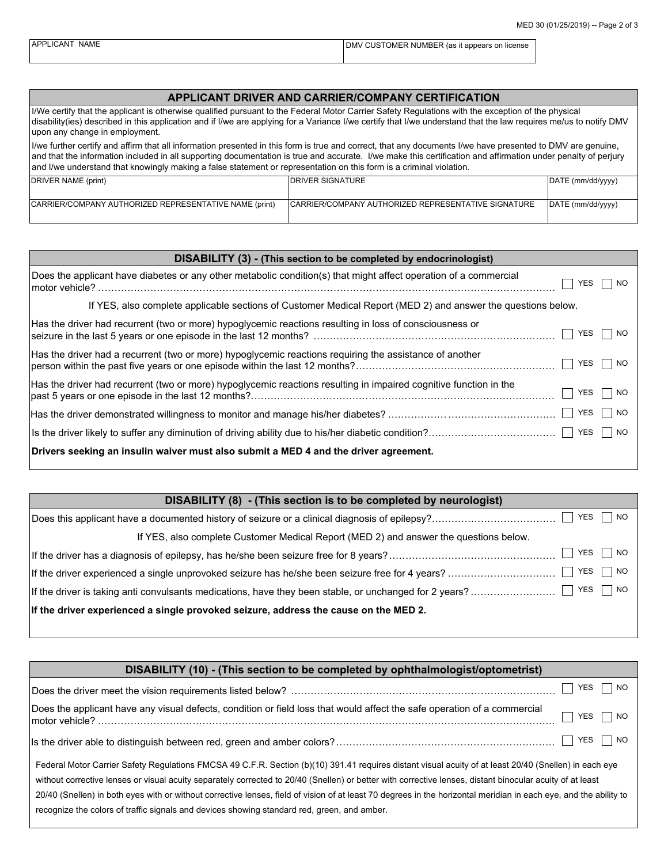| APPLICANT NAME | DMV CUSTOMER NUMBER (as it appears on license |
|----------------|-----------------------------------------------|
|                |                                               |

## **APPLICANT DRIVER AND CARRIER/COMPANY CERTIFICATION**

| I/We certify that the applicant is otherwise qualified pursuant to the Federal Motor Carrier Safety Regulations with the exception of the physical<br>disability (ies) described in this application and if I/we are applying for a Variance I/we certify that I/we understand that the law requires me/us to notify DMV<br>upon any change in employment.                                                                                          |                                                      |                   |  |  |
|-----------------------------------------------------------------------------------------------------------------------------------------------------------------------------------------------------------------------------------------------------------------------------------------------------------------------------------------------------------------------------------------------------------------------------------------------------|------------------------------------------------------|-------------------|--|--|
| live further certify and affirm that all information presented in this form is true and correct, that any documents I/we have presented to DMV are genuine,<br>and that the information included in all supporting documentation is true and accurate. I/we make this certification and affirmation under penalty of perjury<br>and I/we understand that knowingly making a false statement or representation on this form is a criminal violation. |                                                      |                   |  |  |
| <b>IDRIVER SIGNATURE</b><br>DRIVER NAME (print)<br>DATE (mm/dd/yyyy)                                                                                                                                                                                                                                                                                                                                                                                |                                                      |                   |  |  |
| CARRIER/COMPANY AUTHORIZED REPRESENTATIVE NAME (print)                                                                                                                                                                                                                                                                                                                                                                                              | ICARRIER/COMPANY AUTHORIZED REPRESENTATIVE SIGNATURE | DATE (mm/dd/yyyy) |  |  |

| DISABILITY (3) - (This section to be completed by endocrinologist)                                                |            |  |  |  |
|-------------------------------------------------------------------------------------------------------------------|------------|--|--|--|
| Does the applicant have diabetes or any other metabolic condition(s) that might affect operation of a commercial  | YES<br>NO. |  |  |  |
| If YES, also complete applicable sections of Customer Medical Report (MED 2) and answer the questions below.      |            |  |  |  |
| Has the driver had recurrent (two or more) hypoglycemic reactions resulting in loss of consciousness or           | YES<br>NO. |  |  |  |
| Has the driver had a recurrent (two or more) hypoglycemic reactions requiring the assistance of another           | YES<br>NO. |  |  |  |
| Has the driver had recurrent (two or more) hypoglycemic reactions resulting in impaired cognitive function in the | YES<br>NO. |  |  |  |
|                                                                                                                   | YES<br>NO. |  |  |  |
|                                                                                                                   | YES<br>NO. |  |  |  |
| Drivers seeking an insulin waiver must also submit a MED 4 and the driver agreement.                              |            |  |  |  |

| DISABILITY (8) - (This section is to be completed by neurologist)                     |
|---------------------------------------------------------------------------------------|
| YES  <br>$\overline{\phantom{a}}$ NO                                                  |
| If YES, also complete Customer Medical Report (MED 2) and answer the questions below. |
| YES     NO                                                                            |
| YES<br>$\overline{\phantom{0}}$ NO                                                    |
| $\overline{\phantom{0}}$ NO<br>YES                                                    |
| If the driver experienced a single provoked seizure, address the cause on the MED 2.  |

| DISABILITY (10) - (This section to be completed by ophthalmologist/optometrist)                                                                                                                                                                                                                                                                                                                                                                                                                                                                                                         |  |  |  |  |
|-----------------------------------------------------------------------------------------------------------------------------------------------------------------------------------------------------------------------------------------------------------------------------------------------------------------------------------------------------------------------------------------------------------------------------------------------------------------------------------------------------------------------------------------------------------------------------------------|--|--|--|--|
| YES<br>NO.                                                                                                                                                                                                                                                                                                                                                                                                                                                                                                                                                                              |  |  |  |  |
| Does the applicant have any visual defects, condition or field loss that would affect the safe operation of a commercial<br>$\overline{\phantom{0}}$ NO<br>YES.                                                                                                                                                                                                                                                                                                                                                                                                                         |  |  |  |  |
| YES<br>  NO                                                                                                                                                                                                                                                                                                                                                                                                                                                                                                                                                                             |  |  |  |  |
| Federal Motor Carrier Safety Regulations FMCSA 49 C.F.R. Section (b)(10) 391.41 requires distant visual acuity of at least 20/40 (Snellen) in each eye<br>without corrective lenses or visual acuity separately corrected to 20/40 (Snellen) or better with corrective lenses, distant binocular acuity of at least<br>20/40 (Snellen) in both eyes with or without corrective lenses, field of vision of at least 70 degrees in the horizontal meridian in each eye, and the ability to<br>recognize the colors of traffic signals and devices showing standard red, green, and amber. |  |  |  |  |